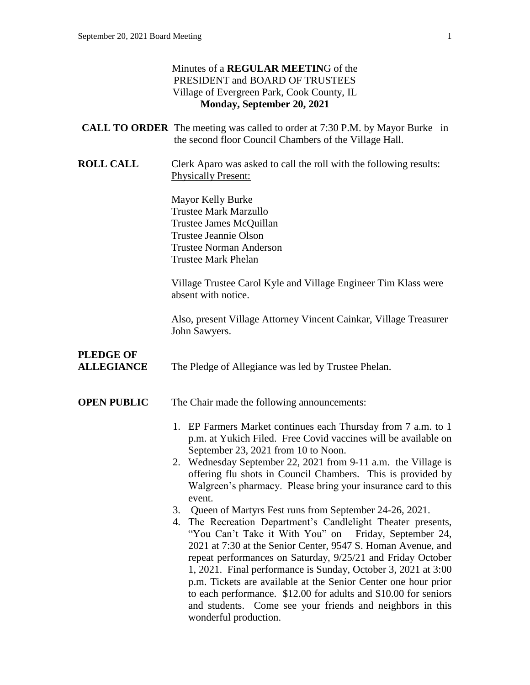### Minutes of a **REGULAR MEETIN**G of the PRESIDENT and BOARD OF TRUSTEES Village of Evergreen Park, Cook County, IL **Monday, September 20, 2021 CALL TO ORDER** The meeting was called to order at 7:30 P.M. by Mayor Burke in the second floor Council Chambers of the Village Hall. **ROLL CALL** Clerk Aparo was asked to call the roll with the following results: Physically Present: Mayor Kelly Burke Trustee Mark Marzullo Trustee James McQuillan Trustee Jeannie Olson Trustee Norman Anderson Trustee Mark Phelan Village Trustee Carol Kyle and Village Engineer Tim Klass were absent with notice. Also, present Village Attorney Vincent Cainkar, Village Treasurer John Sawyers. **PLEDGE OF ALLEGIANCE** The Pledge of Allegiance was led by Trustee Phelan. **OPEN PUBLIC** The Chair made the following announcements: 1. EP Farmers Market continues each Thursday from 7 a.m. to 1 p.m. at Yukich Filed. Free Covid vaccines will be available on September 23, 2021 from 10 to Noon. 2. Wednesday September 22, 2021 from 9-11 a.m. the Village is offering flu shots in Council Chambers. This is provided by Walgreen's pharmacy. Please bring your insurance card to this event. 3. Queen of Martyrs Fest runs from September 24-26, 2021. 4. The Recreation Department's Candlelight Theater presents, "You Can't Take it With You" on Friday, September 24, 2021 at 7:30 at the Senior Center, 9547 S. Homan Avenue, and repeat performances on Saturday, 9/25/21 and Friday October 1, 2021. Final performance is Sunday, October 3, 2021 at 3:00 p.m. Tickets are available at the Senior Center one hour prior

wonderful production.

to each performance. \$12.00 for adults and \$10.00 for seniors and students. Come see your friends and neighbors in this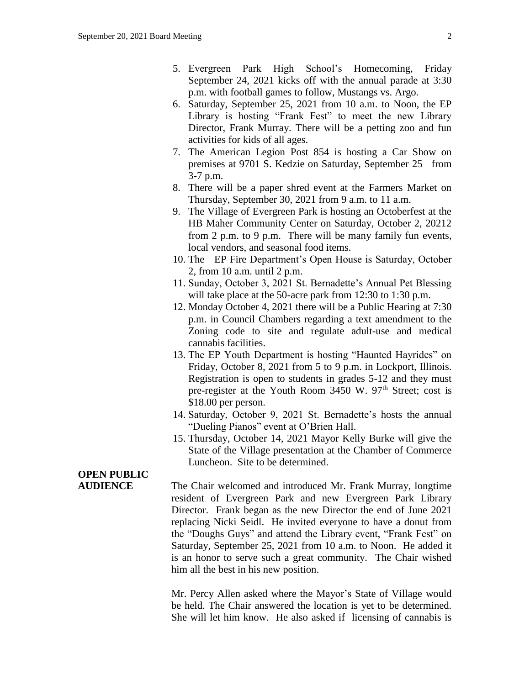- 5. Evergreen Park High School's Homecoming, Friday September 24, 2021 kicks off with the annual parade at 3:30 p.m. with football games to follow, Mustangs vs. Argo.
- 6. Saturday, September 25, 2021 from 10 a.m. to Noon, the EP Library is hosting "Frank Fest" to meet the new Library Director, Frank Murray. There will be a petting zoo and fun activities for kids of all ages.
- 7. The American Legion Post 854 is hosting a Car Show on premises at 9701 S. Kedzie on Saturday, September 25 from 3-7 p.m.
- 8. There will be a paper shred event at the Farmers Market on Thursday, September 30, 2021 from 9 a.m. to 11 a.m.
- 9. The Village of Evergreen Park is hosting an Octoberfest at the HB Maher Community Center on Saturday, October 2, 20212 from 2 p.m. to 9 p.m. There will be many family fun events, local vendors, and seasonal food items.
- 10. The EP Fire Department's Open House is Saturday, October 2, from 10 a.m. until 2 p.m.
- 11. Sunday, October 3, 2021 St. Bernadette's Annual Pet Blessing will take place at the 50-acre park from 12:30 to 1:30 p.m.
- 12. Monday October 4, 2021 there will be a Public Hearing at 7:30 p.m. in Council Chambers regarding a text amendment to the Zoning code to site and regulate adult-use and medical cannabis facilities.
- 13. The EP Youth Department is hosting "Haunted Hayrides" on Friday, October 8, 2021 from 5 to 9 p.m. in Lockport, Illinois. Registration is open to students in grades 5-12 and they must pre-register at the Youth Room  $3450$  W.  $97<sup>th</sup>$  Street; cost is \$18.00 per person.
- 14. Saturday, October 9, 2021 St. Bernadette's hosts the annual "Dueling Pianos" event at O'Brien Hall.
- 15. Thursday, October 14, 2021 Mayor Kelly Burke will give the State of the Village presentation at the Chamber of Commerce Luncheon. Site to be determined.

## **OPEN PUBLIC**

**AUDIENCE** The Chair welcomed and introduced Mr. Frank Murray, longtime resident of Evergreen Park and new Evergreen Park Library Director. Frank began as the new Director the end of June 2021 replacing Nicki Seidl. He invited everyone to have a donut from the "Doughs Guys" and attend the Library event, "Frank Fest" on Saturday, September 25, 2021 from 10 a.m. to Noon. He added it is an honor to serve such a great community. The Chair wished him all the best in his new position.

> Mr. Percy Allen asked where the Mayor's State of Village would be held. The Chair answered the location is yet to be determined. She will let him know. He also asked if licensing of cannabis is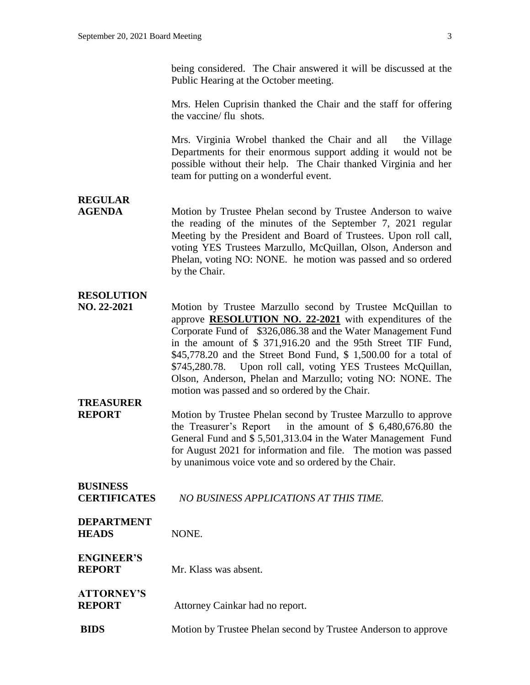being considered. The Chair answered it will be discussed at the Public Hearing at the October meeting.

Mrs. Helen Cuprisin thanked the Chair and the staff for offering the vaccine/ flu shots.

Mrs. Virginia Wrobel thanked the Chair and all the Village Departments for their enormous support adding it would not be possible without their help. The Chair thanked Virginia and her team for putting on a wonderful event.

## **REGULAR**

**AGENDA** Motion by Trustee Phelan second by Trustee Anderson to waive the reading of the minutes of the September 7, 2021 regular Meeting by the President and Board of Trustees. Upon roll call, voting YES Trustees Marzullo, McQuillan, Olson, Anderson and Phelan, voting NO: NONE. he motion was passed and so ordered by the Chair.

### **RESOLUTION**

**NO. 22-2021** Motion by Trustee Marzullo second by Trustee McQuillan to approve **RESOLUTION NO. 22-2021** with expenditures of the Corporate Fund of \$326,086.38 and the Water Management Fund in the amount of \$ 371,916.20 and the 95th Street TIF Fund, \$45,778.20 and the Street Bond Fund, \$ 1,500.00 for a total of \$745,280.78. Upon roll call, voting YES Trustees McQuillan, Olson, Anderson, Phelan and Marzullo; voting NO: NONE. The motion was passed and so ordered by the Chair.

### **TREASURER**

**REPORT** Motion by Trustee Phelan second by Trustee Marzullo to approve the Treasurer's Report in the amount of \$ 6,480,676.80 the General Fund and \$ 5,501,313.04 in the Water Management Fund for August 2021 for information and file. The motion was passed by unanimous voice vote and so ordered by the Chair.

### **BUSINESS CERTIFICATES** *NO BUSINESS APPLICATIONS AT THIS TIME.*

#### **DEPARTMENT HEADS** NONE.

#### **ENGINEER'S REPORT** Mr. Klass was absent.

# **ATTORNEY'S**

**REPORT** Attorney Cainkar had no report.

**BIDS** Motion by Trustee Phelan second by Trustee Anderson to approve